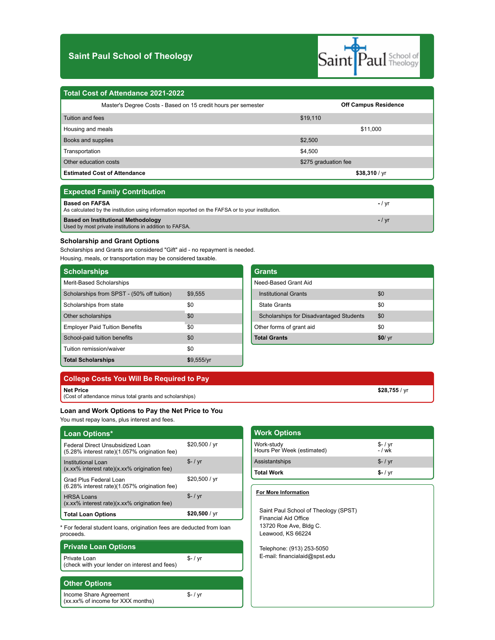# **Saint Paul School of Theology**



| Total Cost of Attendance 2021-2022                            |                             |
|---------------------------------------------------------------|-----------------------------|
| Master's Degree Costs - Based on 15 credit hours per semester | <b>Off Campus Residence</b> |
| Tuition and fees                                              | \$19,110                    |
| Housing and meals                                             | \$11,000                    |
| Books and supplies                                            | \$2,500                     |
| Transportation                                                | \$4,500                     |
| Other education costs                                         | \$275 graduation fee        |
| <b>Estimated Cost of Attendance</b>                           | \$38,310 / yr               |

| <b>Expected Family Contribution</b>                                                                                       |        |
|---------------------------------------------------------------------------------------------------------------------------|--------|
| <b>Based on FAFSA</b><br>As calculated by the institution using information reported on the FAFSA or to your institution. | – / vr |
| <b>Based on Institutional Methodology</b><br>Used by most private institutions in addition to FAFSA.                      | $-12$  |

## **Scholarship and Grant Options**

Scholarships and Grants are considered "Gift" aid - no repayment is needed. Housing, meals, or transportation may be considered taxable.

| <b>Scholarships</b>                        |            |
|--------------------------------------------|------------|
| Merit-Based Scholarships                   |            |
| Scholarships from SPST - (50% off tuition) | \$9.555    |
| Scholarships from state                    | \$0        |
| Other scholarships                         | \$0        |
| <b>Employer Paid Tuition Benefits</b>      | \$0        |
| School-paid tuition benefits               | \$0        |
| Tuition remission/waiver                   | \$0        |
| <b>Total Scholarships</b>                  | \$9,555/yr |

| Grants                                         |        |
|------------------------------------------------|--------|
| Need-Based Grant Aid                           |        |
| <b>Institutional Grants</b>                    | \$0    |
| <b>State Grants</b>                            | \$0    |
| <b>Scholarships for Disadvantaged Students</b> | \$0    |
| Other forms of grant aid                       | \$0    |
| <b>Total Grants</b>                            | \$0/yr |

| College Costs You Will Be Required to Pay                |  |
|----------------------------------------------------------|--|
| Net Price                                                |  |
| (Cost of attendance minus total grants and scholarships) |  |

\$- / yr

**Loan and Work Options to Pay the Net Price to You** You must repay loans, plus interest and fees.

| <b>Loan Options*</b>                                                              |                 |
|-----------------------------------------------------------------------------------|-----------------|
| Federal Direct Unsubsidized Loan<br>(5.28% interest rate)(1.057% origination fee) | \$20,500 / yr   |
| Institutional Loan<br>(x.xx% interest rate)(x.xx% origination fee)                | $S-1$ vr        |
| Grad Plus Federal Loan<br>(6.28% interest rate)(1.057% origination fee)           | \$20,500 / yr   |
| <b>HRSA Loans</b><br>(x.xx% interest rate)(x.xx% origination fee)                 | $S-1$ yr        |
| <b>Total Loan Options</b>                                                         | \$20,500 / $vr$ |

\* For federal student loans, origination fees are deducted from loan proceeds.

# **Private Loan Options**

Private Loan (check with your lender on interest and fees) \$- / yr

## **Other Options**

Income Share Agreement (xx.xx% of income for XXX months)

| <b>Work Options</b>                      |                       |
|------------------------------------------|-----------------------|
| Work-study<br>Hours Per Week (estimated) | $$ - / yr$<br>$-1$ wk |
| Assistantships                           | $$ - / yr$            |
| <b>Total Work</b>                        | $$ - / yr$            |
|                                          |                       |

**\$28,755** / yr

### **For More Information**

Saint Paul School of Theology (SPST) Financial Aid Office 13720 Roe Ave, Bldg C. Leawood, KS 66224

Telephone: (913) 253-5050 E-mail: financialaid@spst.edu